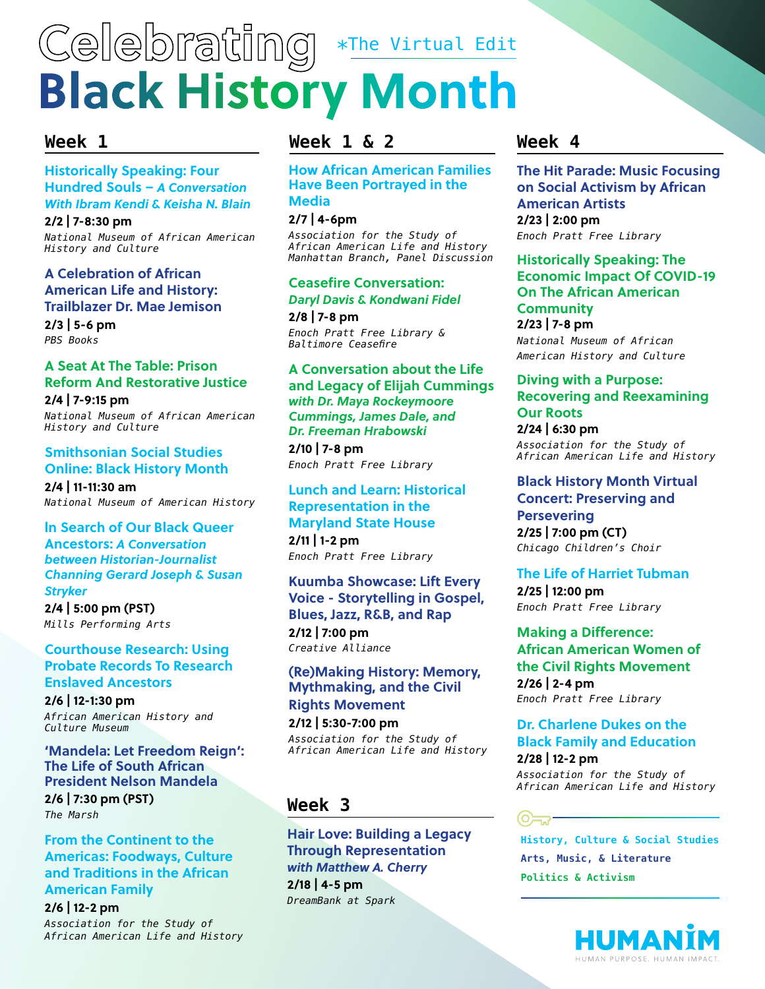# **Celebrating Black History Month** \*The Virtual Edit

# **[Historically Speaking: Four](https://nmaahc.si.edu/event/historically-speaking-four-hundred-souls-%E2%80%93-conversation-ibram-kendi-and-keisha-n-blain?trumbaEmbed=view%3Devent%26eventid%3D150331082)  [Hundred Souls –](https://nmaahc.si.edu/event/historically-speaking-four-hundred-souls-%E2%80%93-conversation-ibram-kendi-and-keisha-n-blain?trumbaEmbed=view%3Devent%26eventid%3D150331082)** *A Conversation [With Ibram Kendi & Keisha N. Blain](https://nmaahc.si.edu/event/historically-speaking-four-hundred-souls-%E2%80%93-conversation-ibram-kendi-and-keisha-n-blain?trumbaEmbed=view%3Devent%26eventid%3D150331082)*

**2/2 | 7-8:30 pm** *National Museum of African American History and Culture*

# **[A Celebration of African](https://asalh.org/calendar/a-celebration-of-african-american-life-and-history-trailblazer-dr-mae-jemison/)  [American Life and History:](https://asalh.org/calendar/a-celebration-of-african-american-life-and-history-trailblazer-dr-mae-jemison/)  [Trailblazer Dr. Mae Jemison](https://asalh.org/calendar/a-celebration-of-african-american-life-and-history-trailblazer-dr-mae-jemison/)**

**2/3 | 5-6 pm** *PBS Books*

# **[A Seat At The Table: Prison](https://nmaahc.si.edu/event/seat-table-prison-reform-and-restorative-justice?trumbaEmbed=view%3Devent%26eventid%3D150262088
)  [Reform And Restorative Justice](https://nmaahc.si.edu/event/seat-table-prison-reform-and-restorative-justice?trumbaEmbed=view%3Devent%26eventid%3D150262088
)**

**2/4 | 7-9:15 pm** *National Museum of African American History and Culture*

# **[Smithsonian Social Studies](https://www.si.edu/events?trumbaEmbed=view%3Devent%26eventid%3D149853457)  [Online: Black History Month](https://www.si.edu/events?trumbaEmbed=view%3Devent%26eventid%3D149853457)**

**2/4 | 11-11:30 am** *National Museum of American History*

# **[ln Search of Our Black Queer](https://performingarts.mills.edu/programs/trans-studies-speaker-series/index.php)  Ancestors:** *[A Conversation](https://performingarts.mills.edu/programs/trans-studies-speaker-series/index.php)  [between Historian-Journalist](https://performingarts.mills.edu/programs/trans-studies-speaker-series/index.php)*

*[Channing Gerard Joseph & Susan](https://performingarts.mills.edu/programs/trans-studies-speaker-series/index.php)  [Stryker](https://performingarts.mills.edu/programs/trans-studies-speaker-series/index.php)*

**2/4 | 5:00 pm (PST)** *Mills Performing Arts* 

# **[Courthouse Research: Using](https://nmaahc.si.edu/event/courthouse-research-using-probate-records-research-enslaved-ancestors?trumbaEmbed=view%3Devent%26eventid%3D150143695)  [Probate Records To Research](https://nmaahc.si.edu/event/courthouse-research-using-probate-records-research-enslaved-ancestors?trumbaEmbed=view%3Devent%26eventid%3D150143695)  [Enslaved Ancestors](https://nmaahc.si.edu/event/courthouse-research-using-probate-records-research-enslaved-ancestors?trumbaEmbed=view%3Devent%26eventid%3D150143695)**

**2/6 | 12-1:30 pm** *African American History and Culture Museum*

# **['Mandela: Let Freedom Reign':](https://themarsh.org/shows_and_events/marshstream/solo-performance-spotlight-mandela-let-freedom-reign/)  [The Life of South African](https://themarsh.org/shows_and_events/marshstream/solo-performance-spotlight-mandela-let-freedom-reign/)  [President Nelson Mandela](https://themarsh.org/shows_and_events/marshstream/solo-performance-spotlight-mandela-let-freedom-reign/)**

**2/6 | 7:30 pm (PST)** *The Marsh*

# **[From the Continent to the](https://asalh.org/calendar/foodways/)  [Americas: Foodways, Culture](https://asalh.org/calendar/foodways/)  [and Traditions in the African](https://asalh.org/calendar/foodways/)  [American Family](https://asalh.org/calendar/foodways/)**

**2/6 | 12-2 pm** *Association for the Study of African American Life and History*

# **Week 1 Week 1 & 2**

**[How African American Families](https://asalh.org/calendar/manhattan-branch-panel-discussion-how-african-american-families-have-been-portrayed-in-the-media/)  [Have Been Portrayed in the](https://asalh.org/calendar/manhattan-branch-panel-discussion-how-african-american-families-have-been-portrayed-in-the-media/)  [Media](https://asalh.org/calendar/manhattan-branch-panel-discussion-how-african-american-families-have-been-portrayed-in-the-media/)**

# **2/7 | 4-6pm**

*Association for the Study of African American Life and History Manhattan Branch, Panel Discussion*

# **[Ceasefire Conversation:](https://www.eventbrite.com/e/ceasefire-conversation-daryl-davis-kondwani-fidel-tickets-138046862883)**

*[Daryl Davis & Kondwani Fidel](https://www.eventbrite.com/e/ceasefire-conversation-daryl-davis-kondwani-fidel-tickets-138046862883)*

**2/8 | 7-8 pm**  *Enoch Pratt Free Library & Baltimore Ceasefire*

# **A Conversation about the Life and Legacy of Elijah Cummings**  *with [Dr. Maya Rockeymoore](https://www.eventbrite.com/e/dr-maya-rockeymoore-cummings-james-dale-and-dr-freeman-hrabowski-tickets-138047789655)  [Cummings, James Dale, and](https://www.eventbrite.com/e/dr-maya-rockeymoore-cummings-james-dale-and-dr-freeman-hrabowski-tickets-138047789655)  [Dr. Freeman Hrabowski](https://www.eventbrite.com/e/dr-maya-rockeymoore-cummings-james-dale-and-dr-freeman-hrabowski-tickets-138047789655)*

**2/10 | 7-8 pm** *Enoch Pratt Free Library*

# **[Lunch and Learn: Historical](https://calendar.prattlibrary.org/event/historical_representation_in_the_maryland_state_house_the_statues_of_harriet_tubman_and_frederick_douglass#.YBA0luhKhPa)  [Representation in the](https://calendar.prattlibrary.org/event/historical_representation_in_the_maryland_state_house_the_statues_of_harriet_tubman_and_frederick_douglass#.YBA0luhKhPa)  [Maryland State House](https://calendar.prattlibrary.org/event/historical_representation_in_the_maryland_state_house_the_statues_of_harriet_tubman_and_frederick_douglass#.YBA0luhKhPa)**

**2/11 | 1-2 pm** *Enoch Pratt Free Library*

# **[Kuumba Showcase: Lift Every](https://www.creativealliance.org/events/2021/kuumba-showcase)  [Voice](https://www.creativealliance.org/events/2021/kuumba-showcase) - Storytelling in Gospel, Blues, Jazz, R&B, and Rap 2/12 | 7:00 pm** *Creative Alliance*

# **[\(Re\)Making History: Memory,](https://asalh.org/calendar/remaking-history-memory-mythmaking-and-the-civil-rights-movement/)  [Mythmaking, and the Civil](https://asalh.org/calendar/remaking-history-memory-mythmaking-and-the-civil-rights-movement/)  [Rights Movement](https://asalh.org/calendar/remaking-history-memory-mythmaking-and-the-civil-rights-movement/)**

**2/12 | 5:30-7:00 pm** *Association for the Study of African American Life and History*

# **Week 3**

**[Hair Love: Building a Legacy](https://www.eventbrite.com/e/hair-love-building-a-legacy-through-representation-with-matthew-a-cherry-registration-135911174983?aff=ebdssbonlinesearch)  [Through Representation](https://www.eventbrite.com/e/hair-love-building-a-legacy-through-representation-with-matthew-a-cherry-registration-135911174983?aff=ebdssbonlinesearch)**  *[with Matthew A. Cherry](https://www.eventbrite.com/e/hair-love-building-a-legacy-through-representation-with-matthew-a-cherry-registration-135911174983?aff=ebdssbonlinesearch)* **2/18 | 4-5 pm**

*DreamBank at Spark*

# **Week 4**

**[The Hit Parade: Music Focusing](https://calendar.prattlibrary.org/event/tuesday_tunes_charles_sullivan_6292#.YBMhwy1h1pQ)  [on Social Activism by African](https://calendar.prattlibrary.org/event/tuesday_tunes_charles_sullivan_6292#.YBMhwy1h1pQ)  [American Artists](https://calendar.prattlibrary.org/event/tuesday_tunes_charles_sullivan_6292#.YBMhwy1h1pQ) 2/23 | 2:00 pm** *Enoch Pratt Free Library*

**[Historically Speaking: The](https://nmaahc.si.edu/event/historically-speaking-economic-impact-covid-19-african-american-community?trumbaEmbed=view=event&eventid=150534023)  [Economic Impact Of COVID-19](https://nmaahc.si.edu/event/historically-speaking-economic-impact-covid-19-african-american-community?trumbaEmbed=view=event&eventid=150534023)  [On The African American](https://nmaahc.si.edu/event/historically-speaking-economic-impact-covid-19-african-american-community?trumbaEmbed=view=event&eventid=150534023)  [Community](https://nmaahc.si.edu/event/historically-speaking-economic-impact-covid-19-african-american-community?trumbaEmbed=view=event&eventid=150534023)**

**2/23 | 7-8 pm** *National Museum of African American History and Culture*

# **[Diving with a Purpose:](https://asalh.org/calendar/diving-with-a-purpose/)  [Recovering and Reexamining](https://asalh.org/calendar/diving-with-a-purpose/)  [Our Roots](https://asalh.org/calendar/diving-with-a-purpose/)**

**2/24 | 6:30 pm** *Association for the Study of African American Life and History*

# **[Black History Month Virtual](https://ccchoir.org/event/black-history-month-virtual-concert-2021/)  [Concert: Preserving and](https://ccchoir.org/event/black-history-month-virtual-concert-2021/)  [Persevering](https://ccchoir.org/event/black-history-month-virtual-concert-2021/) 2/25 | 7:00 pm (CT)** *Chicago Children's Choir*

# **[The Life of Harriet Tubman](https://calendar.prattlibrary.org/event/the_life_of_harriet_tubman_91#.YBA2YOhKhPZ)**

**2/25 | 12:00 pm** *Enoch Pratt Free Library* 

# **[Making a Difference:](https://calendar.prattlibrary.org/event/making_a_difference_african_american_women_of_the_civil_rights_movement#.YBA26ehKhPZ)  [African American Women of](https://calendar.prattlibrary.org/event/making_a_difference_african_american_women_of_the_civil_rights_movement#.YBA26ehKhPZ)  [the Civil Rights Movement](https://calendar.prattlibrary.org/event/making_a_difference_african_american_women_of_the_civil_rights_movement#.YBA26ehKhPZ) 2/26 | 2-4 pm**

*Enoch Pratt Free Library*

# **[Dr. Charlene Dukes on the](https://asalh.org/calendar/joint-black-history-month-program/)  [Black Family and Education](https://asalh.org/calendar/joint-black-history-month-program/)**

**2/28 | 12-2 pm** *Association for the Study of African American Life and History*

# (0元)

**History, Culture & Social Studies Arts, Music, & Literature Politics & Activism**